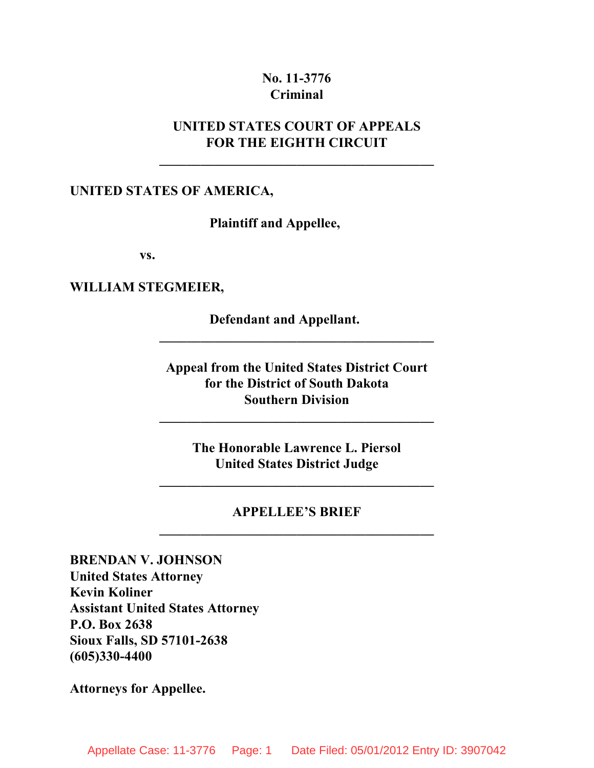### **No. 11-3776 Criminal**

## **UNITED STATES COURT OF APPEALS FOR THE EIGHTH CIRCUIT**

**\_\_\_\_\_\_\_\_\_\_\_\_\_\_\_\_\_\_\_\_\_\_\_\_\_\_\_\_\_\_\_\_\_\_\_\_\_\_\_\_**

#### **UNITED STATES OF AMERICA,**

**Plaintiff and Appellee,**

**vs.**

**WILLIAM STEGMEIER,**

**Defendant and Appellant.**

**Appeal from the United States District Court for the District of South Dakota Southern Division**

**\_\_\_\_\_\_\_\_\_\_\_\_\_\_\_\_\_\_\_\_\_\_\_\_\_\_\_\_\_\_\_\_\_\_\_\_\_\_\_\_**

**\_\_\_\_\_\_\_\_\_\_\_\_\_\_\_\_\_\_\_\_\_\_\_\_\_\_\_\_\_\_\_\_\_\_\_\_\_\_\_\_**

**The Honorable Lawrence L. Piersol United States District Judge**

**\_\_\_\_\_\_\_\_\_\_\_\_\_\_\_\_\_\_\_\_\_\_\_\_\_\_\_\_\_\_\_\_\_\_\_\_\_\_\_\_**

## **APPELLEE'S BRIEF \_\_\_\_\_\_\_\_\_\_\_\_\_\_\_\_\_\_\_\_\_\_\_\_\_\_\_\_\_\_\_\_\_\_\_\_\_\_\_\_**

**BRENDAN V. JOHNSON United States Attorney Kevin Koliner Assistant United States Attorney P.O. Box 2638 Sioux Falls, SD 57101-2638 (605)330-4400**

**Attorneys for Appellee.**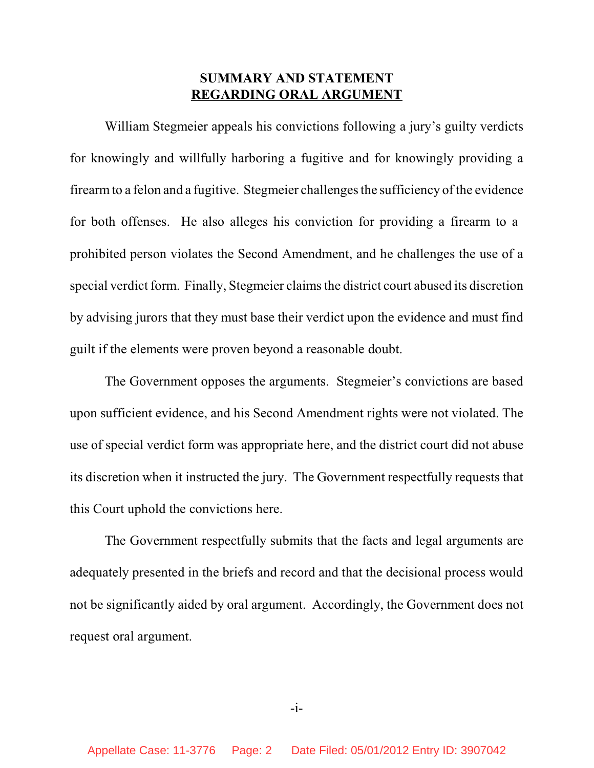### **SUMMARY AND STATEMENT REGARDING ORAL ARGUMENT**

William Stegmeier appeals his convictions following a jury's guilty verdicts for knowingly and willfully harboring a fugitive and for knowingly providing a firearmto a felon and a fugitive. Stegmeier challengesthe sufficiency of the evidence for both offenses. He also alleges his conviction for providing a firearm to a prohibited person violates the Second Amendment, and he challenges the use of a special verdict form. Finally, Stegmeier claims the district court abused its discretion by advising jurors that they must base their verdict upon the evidence and must find guilt if the elements were proven beyond a reasonable doubt.

The Government opposes the arguments. Stegmeier's convictions are based upon sufficient evidence, and his Second Amendment rights were not violated. The use of special verdict form was appropriate here, and the district court did not abuse its discretion when it instructed the jury. The Government respectfully requests that this Court uphold the convictions here.

The Government respectfully submits that the facts and legal arguments are adequately presented in the briefs and record and that the decisional process would not be significantly aided by oral argument. Accordingly, the Government does not request oral argument.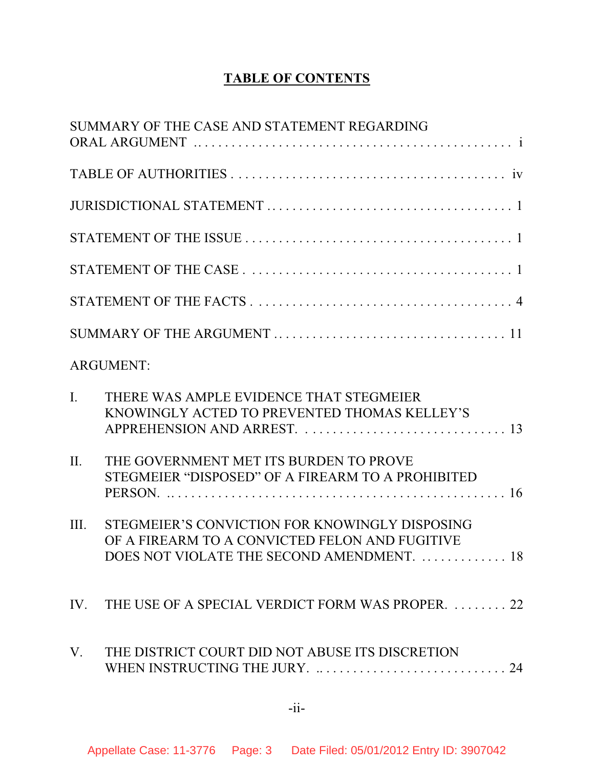# **TABLE OF CONTENTS**

|      | SUMMARY OF THE CASE AND STATEMENT REGARDING                                                                                                    |
|------|------------------------------------------------------------------------------------------------------------------------------------------------|
|      |                                                                                                                                                |
|      |                                                                                                                                                |
|      |                                                                                                                                                |
|      |                                                                                                                                                |
|      |                                                                                                                                                |
|      |                                                                                                                                                |
|      | <b>ARGUMENT:</b>                                                                                                                               |
| I.   | THERE WAS AMPLE EVIDENCE THAT STEGMEIER<br>KNOWINGLY ACTED TO PREVENTED THOMAS KELLEY'S                                                        |
| II.  | THE GOVERNMENT MET ITS BURDEN TO PROVE<br>STEGMEIER "DISPOSED" OF A FIREARM TO A PROHIBITED                                                    |
| III. | STEGMEIER'S CONVICTION FOR KNOWINGLY DISPOSING<br>OF A FIREARM TO A CONVICTED FELON AND FUGITIVE<br>DOES NOT VIOLATE THE SECOND AMENDMENT.  18 |
|      | IV. THE USE OF A SPECIAL VERDICT FORM WAS PROPER.  22                                                                                          |
| V.   | THE DISTRICT COURT DID NOT ABUSE ITS DISCRETION<br>WHEN INSTRUCTING THE JURY.  24                                                              |
|      | $-i$ i-                                                                                                                                        |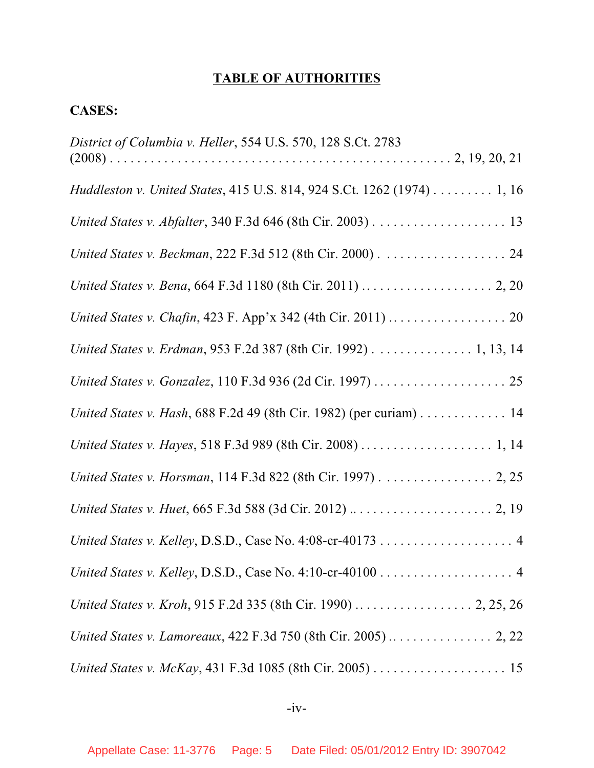# **TABLE OF AUTHORITIES**

# **CASES:**

| District of Columbia v. Heller, 554 U.S. 570, 128 S.Ct. 2783           |
|------------------------------------------------------------------------|
| Huddleston v. United States, 415 U.S. 814, 924 S.Ct. 1262 (1974) 1, 16 |
|                                                                        |
|                                                                        |
|                                                                        |
|                                                                        |
| United States v. Erdman, 953 F.2d 387 (8th Cir. 1992) 1, 13, 14        |
|                                                                        |
| United States v. Hash, 688 F.2d 49 (8th Cir. 1982) (per curiam) 14     |
|                                                                        |
| United States v. Horsman, 114 F.3d 822 (8th Cir. 1997) 2, 25           |
|                                                                        |
|                                                                        |
|                                                                        |
|                                                                        |
|                                                                        |
|                                                                        |

 $-iv-$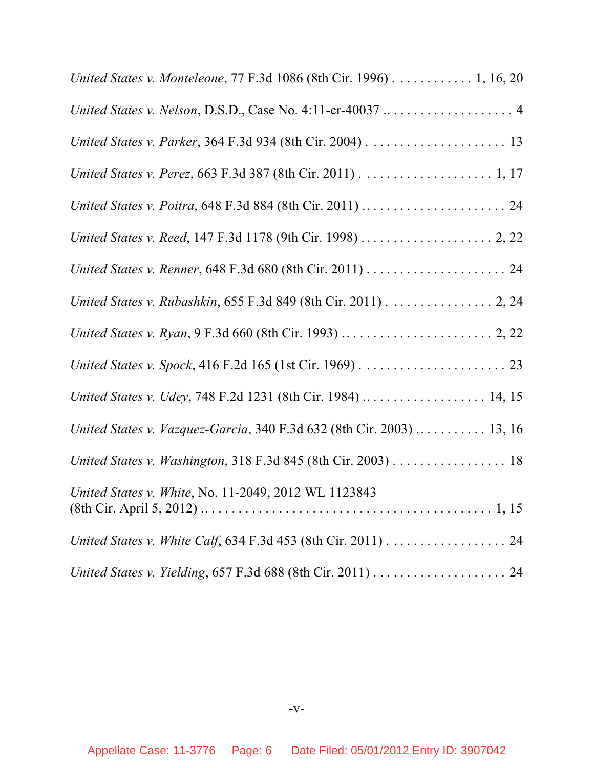| United States v. Monteleone, 77 F.3d 1086 (8th Cir. 1996) 1, 16, 20   |
|-----------------------------------------------------------------------|
| United States v. Nelson, D.S.D., Case No. 4:11-cr-40037  4            |
|                                                                       |
|                                                                       |
|                                                                       |
|                                                                       |
|                                                                       |
| United States v. Rubashkin, 655 F.3d 849 (8th Cir. 2011) 2, 24        |
|                                                                       |
|                                                                       |
| United States v. Udey, 748 F.2d 1231 (8th Cir. 1984)  14, 15          |
| United States v. Vazquez-Garcia, 340 F.3d 632 (8th Cir. 2003)  13, 16 |
| United States v. Washington, 318 F.3d 845 (8th Cir. 2003) 18          |
| United States v. White, No. 11-2049, 2012 WL 1123843                  |
|                                                                       |
|                                                                       |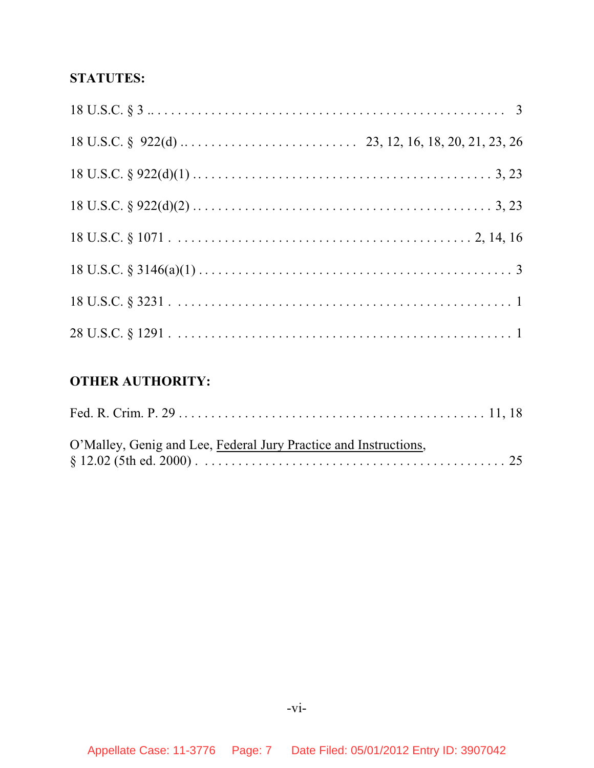# **STATUTES:**

# **OTHER AUTHORITY:**

| O'Malley, Genig and Lee, Federal Jury Practice and Instructions, |  |
|------------------------------------------------------------------|--|
|                                                                  |  |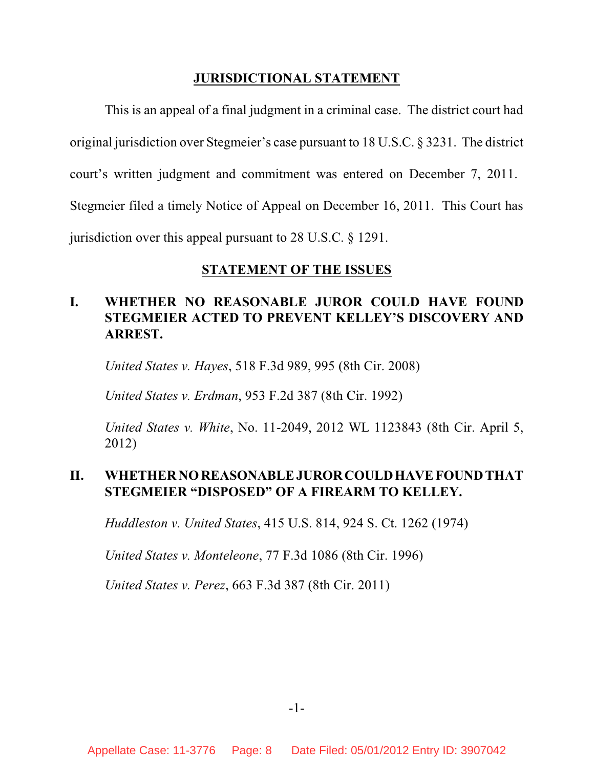## **JURISDICTIONAL STATEMENT**

This is an appeal of a final judgment in a criminal case. The district court had original jurisdiction over Stegmeier's case pursuant to 18 U.S.C. § 3231. The district court's written judgment and commitment was entered on December 7, 2011. Stegmeier filed a timely Notice of Appeal on December 16, 2011. This Court has jurisdiction over this appeal pursuant to 28 U.S.C. § 1291.

## **STATEMENT OF THE ISSUES**

# **I. WHETHER NO REASONABLE JUROR COULD HAVE FOUND STEGMEIER ACTED TO PREVENT KELLEY'S DISCOVERY AND ARREST.**

*United States v. Hayes*, 518 F.3d 989, 995 (8th Cir. 2008)

*United States v. Erdman*, 953 F.2d 387 (8th Cir. 1992)

*United States v. White*, No. 11-2049, 2012 WL 1123843 (8th Cir. April 5, 2012)

## **II. WHETHER NO REASONABLE JURORCOULDHAVE FOUNDTHAT STEGMEIER "DISPOSED" OF A FIREARM TO KELLEY.**

*Huddleston v. United States*, 415 U.S. 814, 924 S. Ct. 1262 (1974)

*United States v. Monteleone*, 77 F.3d 1086 (8th Cir. 1996)

*United States v. Perez*, 663 F.3d 387 (8th Cir. 2011)

-1-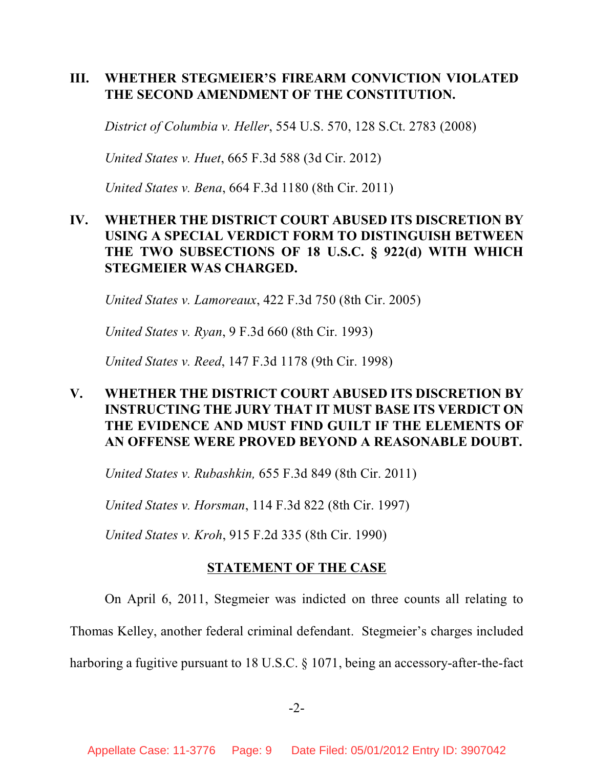## **III. WHETHER STEGMEIER'S FIREARM CONVICTION VIOLATED THE SECOND AMENDMENT OF THE CONSTITUTION.**

*District of Columbia v. Heller*, 554 U.S. 570, 128 S.Ct. 2783 (2008)

*United States v. Huet*, 665 F.3d 588 (3d Cir. 2012)

*United States v. Bena*, 664 F.3d 1180 (8th Cir. 2011)

# **IV. WHETHER THE DISTRICT COURT ABUSED ITS DISCRETION BY USING A SPECIAL VERDICT FORM TO DISTINGUISH BETWEEN THE TWO SUBSECTIONS OF 18 U.S.C. § 922(d) WITH WHICH STEGMEIER WAS CHARGED.**

*United States v. Lamoreaux*, 422 F.3d 750 (8th Cir. 2005)

*United States v. Ryan*, 9 F.3d 660 (8th Cir. 1993)

*United States v. Reed*, 147 F.3d 1178 (9th Cir. 1998)

# **V. WHETHER THE DISTRICT COURT ABUSED ITS DISCRETION BY INSTRUCTING THE JURY THAT IT MUST BASE ITS VERDICT ON THE EVIDENCE AND MUST FIND GUILT IF THE ELEMENTS OF AN OFFENSE WERE PROVED BEYOND A REASONABLE DOUBT.**

*United States v. Rubashkin,* 655 F.3d 849 (8th Cir. 2011)

*United States v. Horsman*, 114 F.3d 822 (8th Cir. 1997)

*United States v. Kroh*, 915 F.2d 335 (8th Cir. 1990)

### **STATEMENT OF THE CASE**

On April 6, 2011, Stegmeier was indicted on three counts all relating to

Thomas Kelley, another federal criminal defendant. Stegmeier's charges included

harboring a fugitive pursuant to 18 U.S.C. § 1071, being an accessory-after-the-fact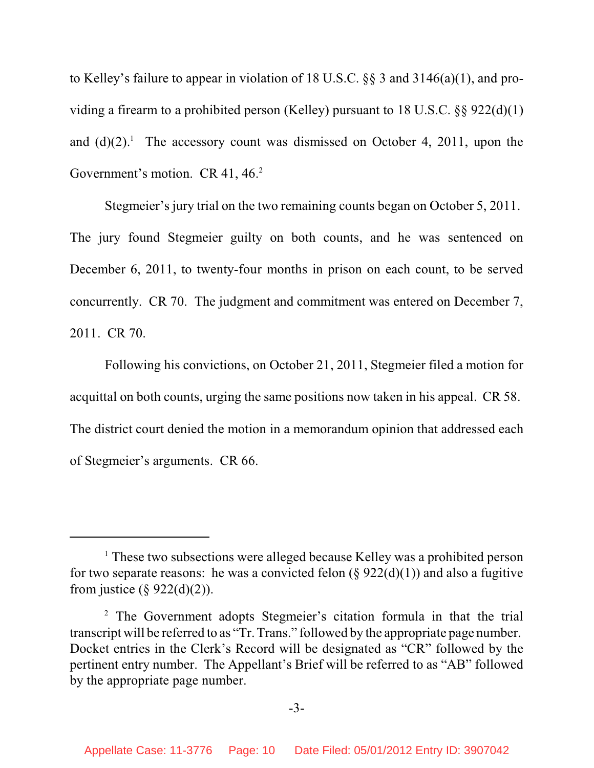to Kelley's failure to appear in violation of 18 U.S.C. §§ 3 and 3146(a)(1), and providing a firearm to a prohibited person (Kelley) pursuant to 18 U.S.C. §§ 922(d)(1) and  $(d)(2)$ .<sup>1</sup> The accessory count was dismissed on October 4, 2011, upon the Government's motion. CR 41,  $46<sup>2</sup>$ 

Stegmeier's jury trial on the two remaining counts began on October 5, 2011. The jury found Stegmeier guilty on both counts, and he was sentenced on December 6, 2011, to twenty-four months in prison on each count, to be served concurrently. CR 70. The judgment and commitment was entered on December 7, 2011. CR 70.

Following his convictions, on October 21, 2011, Stegmeier filed a motion for acquittal on both counts, urging the same positions now taken in his appeal. CR 58. The district court denied the motion in a memorandum opinion that addressed each of Stegmeier's arguments. CR 66.

 $<sup>1</sup>$  These two subsections were alleged because Kelley was a prohibited person</sup> for two separate reasons: he was a convicted felon  $(\S 922(d)(1))$  and also a fugitive from justice  $(\S$  922(d)(2)).

<sup>&</sup>lt;sup>2</sup> The Government adopts Stegmeier's citation formula in that the trial transcript will be referred to as "Tr. Trans." followed by the appropriate page number. Docket entries in the Clerk's Record will be designated as "CR" followed by the pertinent entry number. The Appellant's Brief will be referred to as "AB" followed by the appropriate page number.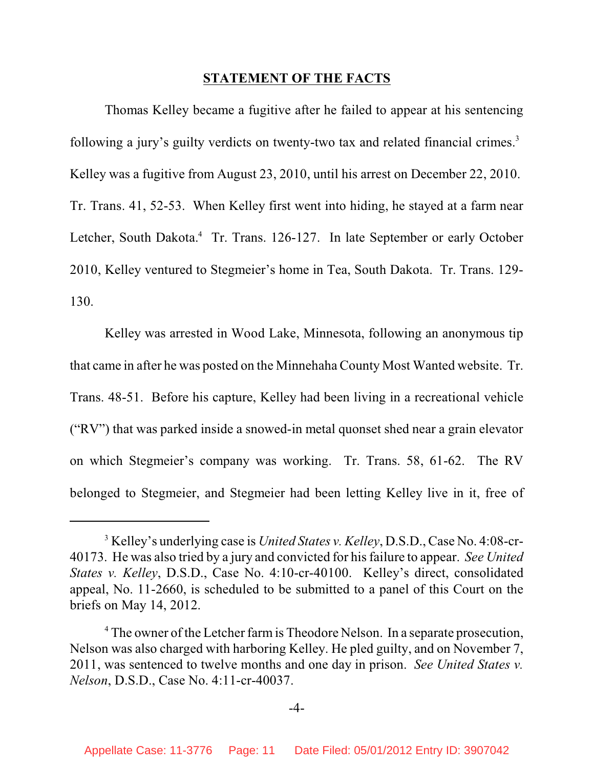#### **STATEMENT OF THE FACTS**

Thomas Kelley became a fugitive after he failed to appear at his sentencing following a jury's guilty verdicts on twenty-two tax and related financial crimes.<sup>3</sup> Kelley was a fugitive from August 23, 2010, until his arrest on December 22, 2010. Tr. Trans. 41, 52-53. When Kelley first went into hiding, he stayed at a farm near Letcher, South Dakota.<sup>4</sup> Tr. Trans. 126-127. In late September or early October 2010, Kelley ventured to Stegmeier's home in Tea, South Dakota. Tr. Trans. 129- 130.

Kelley was arrested in Wood Lake, Minnesota, following an anonymous tip that came in after he was posted on the Minnehaha County Most Wanted website. Tr. Trans. 48-51. Before his capture, Kelley had been living in a recreational vehicle ("RV") that was parked inside a snowed-in metal quonset shed near a grain elevator on which Stegmeier's company was working. Tr. Trans. 58, 61-62. The RV belonged to Stegmeier, and Stegmeier had been letting Kelley live in it, free of

-4-

<sup>&</sup>lt;sup>3</sup> Kelley's underlying case is *United States v. Kelley*, D.S.D., Case No. 4:08-cr-40173. He was also tried by a jury and convicted for his failure to appear. *See United States v. Kelley*, D.S.D., Case No. 4:10-cr-40100. Kelley's direct, consolidated appeal, No. 11-2660, is scheduled to be submitted to a panel of this Court on the briefs on May 14, 2012.

<sup>&</sup>lt;sup>4</sup> The owner of the Letcher farm is Theodore Nelson. In a separate prosecution, Nelson was also charged with harboring Kelley. He pled guilty, and on November 7, 2011, was sentenced to twelve months and one day in prison. *See United States v. Nelson*, D.S.D., Case No. 4:11-cr-40037.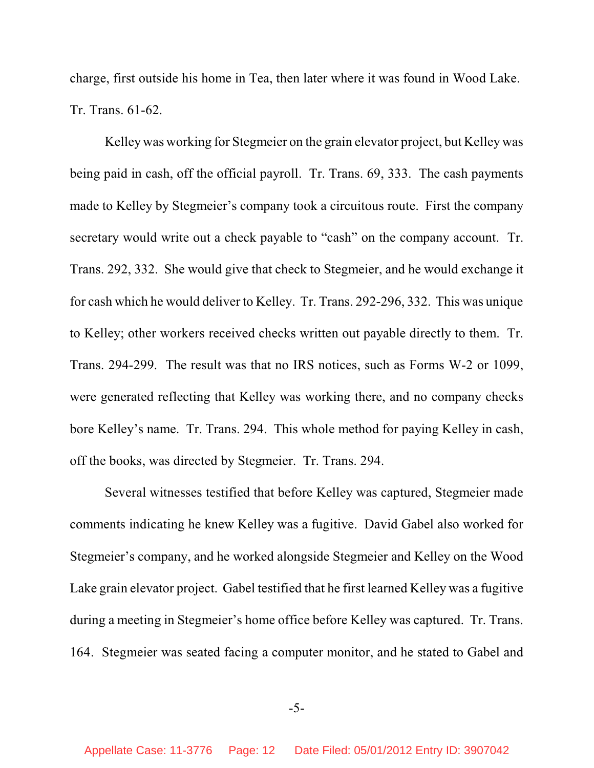charge, first outside his home in Tea, then later where it was found in Wood Lake. Tr. Trans. 61-62.

Kelleywas working for Stegmeier on the grain elevator project, but Kelley was being paid in cash, off the official payroll. Tr. Trans. 69, 333. The cash payments made to Kelley by Stegmeier's company took a circuitous route. First the company secretary would write out a check payable to "cash" on the company account. Tr. Trans. 292, 332. She would give that check to Stegmeier, and he would exchange it for cash which he would deliver to Kelley. Tr. Trans. 292-296, 332. This was unique to Kelley; other workers received checks written out payable directly to them. Tr. Trans. 294-299. The result was that no IRS notices, such as Forms W-2 or 1099, were generated reflecting that Kelley was working there, and no company checks bore Kelley's name. Tr. Trans. 294. This whole method for paying Kelley in cash, off the books, was directed by Stegmeier. Tr. Trans. 294.

Several witnesses testified that before Kelley was captured, Stegmeier made comments indicating he knew Kelley was a fugitive. David Gabel also worked for Stegmeier's company, and he worked alongside Stegmeier and Kelley on the Wood Lake grain elevator project. Gabel testified that he first learned Kelley was a fugitive during a meeting in Stegmeier's home office before Kelley was captured. Tr. Trans. 164. Stegmeier was seated facing a computer monitor, and he stated to Gabel and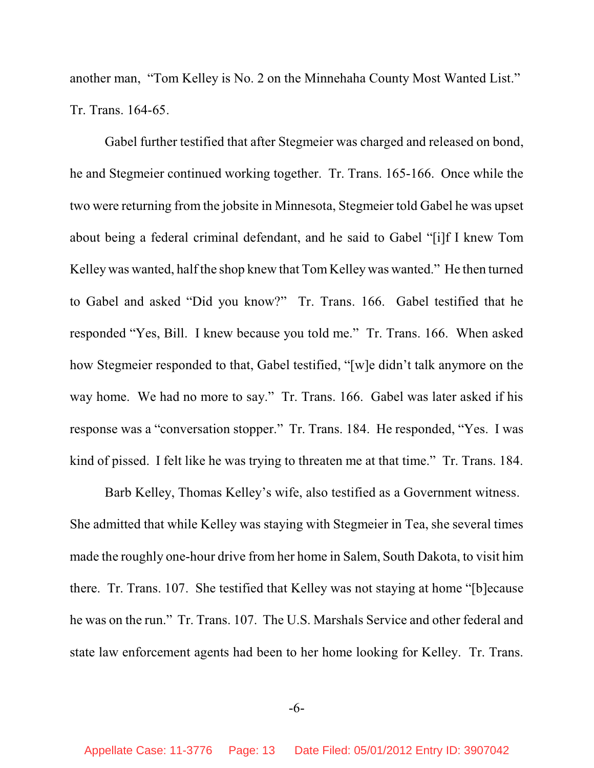another man, "Tom Kelley is No. 2 on the Minnehaha County Most Wanted List." Tr. Trans. 164-65.

Gabel further testified that after Stegmeier was charged and released on bond, he and Stegmeier continued working together. Tr. Trans. 165-166. Once while the two were returning from the jobsite in Minnesota, Stegmeier told Gabel he was upset about being a federal criminal defendant, and he said to Gabel "[i]f I knew Tom Kelley was wanted, half the shop knew that Tom Kelley was wanted." He then turned to Gabel and asked "Did you know?" Tr. Trans. 166. Gabel testified that he responded "Yes, Bill. I knew because you told me." Tr. Trans. 166. When asked how Stegmeier responded to that, Gabel testified, "[w]e didn't talk anymore on the way home. We had no more to say." Tr. Trans. 166. Gabel was later asked if his response was a "conversation stopper." Tr. Trans. 184. He responded, "Yes. I was kind of pissed. I felt like he was trying to threaten me at that time." Tr. Trans. 184.

Barb Kelley, Thomas Kelley's wife, also testified as a Government witness. She admitted that while Kelley was staying with Stegmeier in Tea, she several times made the roughly one-hour drive from her home in Salem, South Dakota, to visit him there. Tr. Trans. 107. She testified that Kelley was not staying at home "[b]ecause he was on the run." Tr. Trans. 107. The U.S. Marshals Service and other federal and state law enforcement agents had been to her home looking for Kelley. Tr. Trans.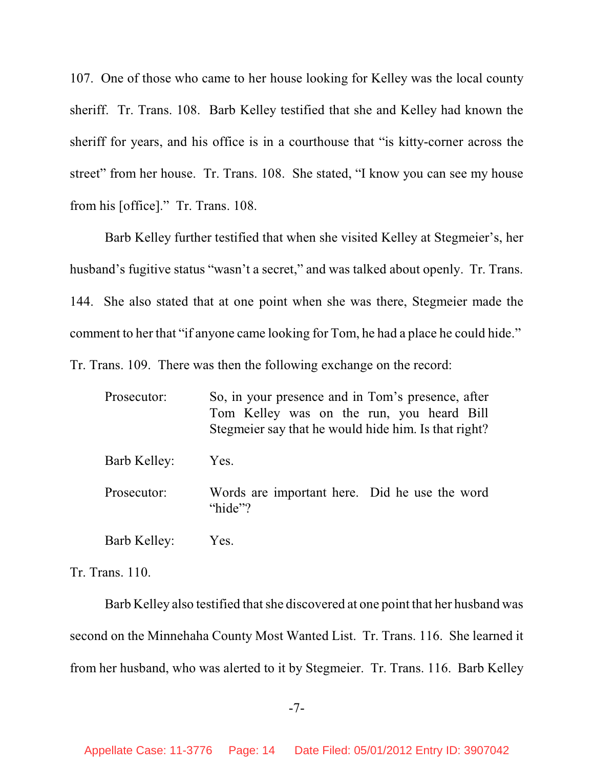107. One of those who came to her house looking for Kelley was the local county sheriff. Tr. Trans. 108. Barb Kelley testified that she and Kelley had known the sheriff for years, and his office is in a courthouse that "is kitty-corner across the street" from her house. Tr. Trans. 108. She stated, "I know you can see my house from his [office]." Tr. Trans. 108.

Barb Kelley further testified that when she visited Kelley at Stegmeier's, her husband's fugitive status "wasn't a secret," and was talked about openly. Tr. Trans. 144. She also stated that at one point when she was there, Stegmeier made the comment to her that "if anyone came looking for Tom, he had a place he could hide." Tr. Trans. 109. There was then the following exchange on the record:

| Prosecutor:  | So, in your presence and in Tom's presence, after<br>Tom Kelley was on the run, you heard Bill<br>Stegmeier say that he would hide him. Is that right? |
|--------------|--------------------------------------------------------------------------------------------------------------------------------------------------------|
| Barb Kelley: | Yes.                                                                                                                                                   |
| Prosecutor:  | Words are important here. Did he use the word<br>"hide"?                                                                                               |
| Barb Kelley: | Yes.                                                                                                                                                   |

Tr. Trans. 110.

Barb Kelley also testified that she discovered at one point that her husband was second on the Minnehaha County Most Wanted List. Tr. Trans. 116. She learned it from her husband, who was alerted to it by Stegmeier. Tr. Trans. 116. Barb Kelley

-7-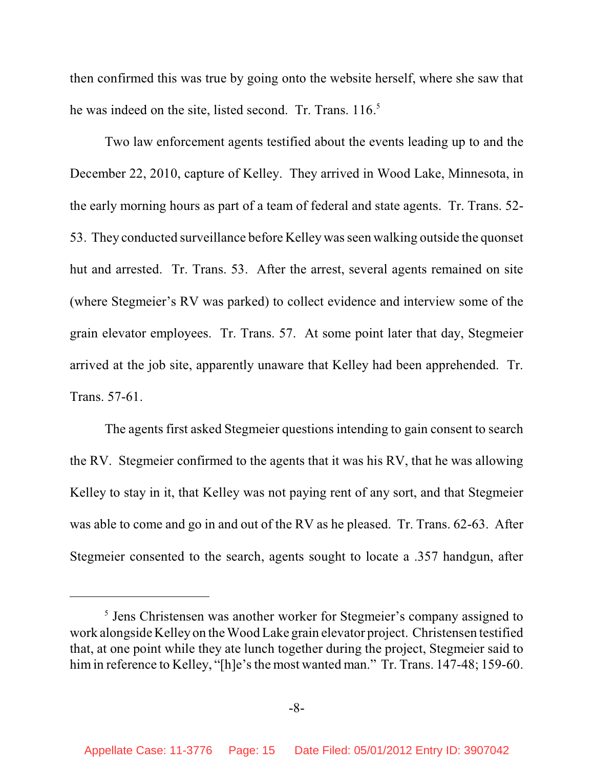then confirmed this was true by going onto the website herself, where she saw that he was indeed on the site, listed second. Tr. Trans. 116.<sup>5</sup>

Two law enforcement agents testified about the events leading up to and the December 22, 2010, capture of Kelley. They arrived in Wood Lake, Minnesota, in the early morning hours as part of a team of federal and state agents. Tr. Trans. 52- 53. They conducted surveillance before Kelley wasseen walking outside the quonset hut and arrested. Tr. Trans. 53. After the arrest, several agents remained on site (where Stegmeier's RV was parked) to collect evidence and interview some of the grain elevator employees. Tr. Trans. 57. At some point later that day, Stegmeier arrived at the job site, apparently unaware that Kelley had been apprehended. Tr. Trans. 57-61.

The agents first asked Stegmeier questions intending to gain consent to search the RV. Stegmeier confirmed to the agents that it was his RV, that he was allowing Kelley to stay in it, that Kelley was not paying rent of any sort, and that Stegmeier was able to come and go in and out of the RV as he pleased. Tr. Trans. 62-63. After Stegmeier consented to the search, agents sought to locate a .357 handgun, after

 $<sup>5</sup>$  Jens Christensen was another worker for Stegmeier's company assigned to</sup> work alongside Kelley on the Wood Lake grain elevator project. Christensen testified that, at one point while they ate lunch together during the project, Stegmeier said to him in reference to Kelley, "[h]e's the most wanted man." Tr. Trans. 147-48; 159-60.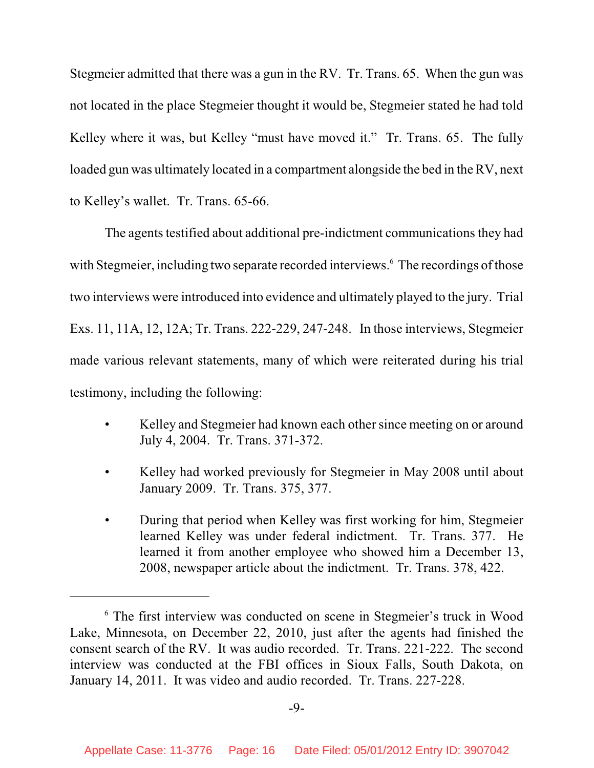Stegmeier admitted that there was a gun in the RV. Tr. Trans. 65. When the gun was not located in the place Stegmeier thought it would be, Stegmeier stated he had told Kelley where it was, but Kelley "must have moved it." Tr. Trans. 65. The fully loaded gun was ultimately located in a compartment alongside the bed in the RV, next to Kelley's wallet. Tr. Trans. 65-66.

The agents testified about additional pre-indictment communications they had with Stegmeier, including two separate recorded interviews.<sup>6</sup> The recordings of those two interviews were introduced into evidence and ultimately played to the jury. Trial Exs. 11, 11A, 12, 12A; Tr. Trans. 222-229, 247-248. In those interviews, Stegmeier made various relevant statements, many of which were reiterated during his trial testimony, including the following:

- Kelley and Stegmeier had known each other since meeting on or around July 4, 2004. Tr. Trans. 371-372.
- Kelley had worked previously for Stegmeier in May 2008 until about January 2009. Tr. Trans. 375, 377.
- During that period when Kelley was first working for him, Stegmeier learned Kelley was under federal indictment. Tr. Trans. 377. He learned it from another employee who showed him a December 13, 2008, newspaper article about the indictment. Tr. Trans. 378, 422.

<sup>&</sup>lt;sup>6</sup> The first interview was conducted on scene in Stegmeier's truck in Wood Lake, Minnesota, on December 22, 2010, just after the agents had finished the consent search of the RV. It was audio recorded. Tr. Trans. 221-222. The second interview was conducted at the FBI offices in Sioux Falls, South Dakota, on January 14, 2011. It was video and audio recorded. Tr. Trans. 227-228.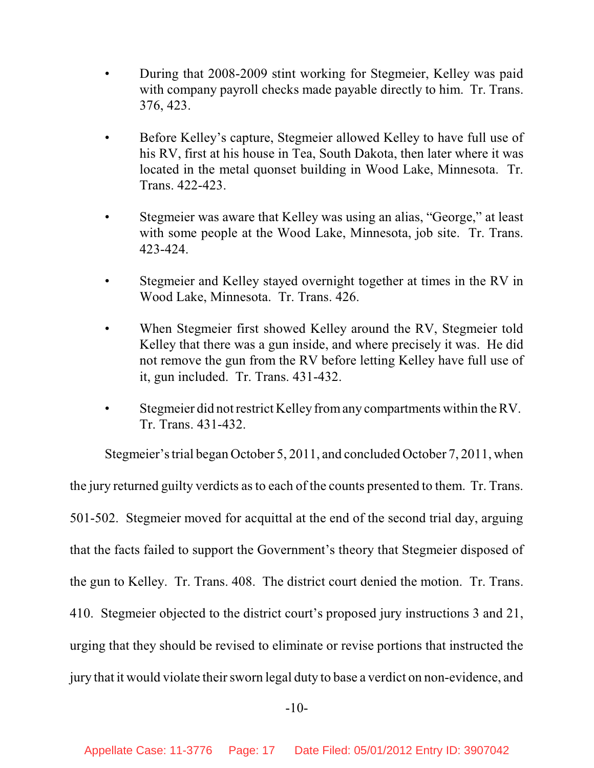- During that 2008-2009 stint working for Stegmeier, Kelley was paid with company payroll checks made payable directly to him. Tr. Trans. 376, 423.
- Before Kelley's capture, Stegmeier allowed Kelley to have full use of his RV, first at his house in Tea, South Dakota, then later where it was located in the metal quonset building in Wood Lake, Minnesota. Tr. Trans. 422-423.
- Stegmeier was aware that Kelley was using an alias, "George," at least with some people at the Wood Lake, Minnesota, job site. Tr. Trans. 423-424.
- Stegmeier and Kelley stayed overnight together at times in the RV in Wood Lake, Minnesota. Tr. Trans. 426.
- When Stegmeier first showed Kelley around the RV, Stegmeier told Kelley that there was a gun inside, and where precisely it was. He did not remove the gun from the RV before letting Kelley have full use of it, gun included. Tr. Trans. 431-432.
- Stegmeier did not restrict Kelley fromany compartments within the RV. Tr. Trans. 431-432.

Stegmeier's trial began October 5, 2011, and concluded October 7, 2011, when the jury returned guilty verdicts as to each of the counts presented to them. Tr. Trans. 501-502. Stegmeier moved for acquittal at the end of the second trial day, arguing that the facts failed to support the Government's theory that Stegmeier disposed of the gun to Kelley. Tr. Trans. 408. The district court denied the motion. Tr. Trans. 410. Stegmeier objected to the district court's proposed jury instructions 3 and 21, urging that they should be revised to eliminate or revise portions that instructed the jury that it would violate their sworn legal duty to base a verdict on non-evidence, and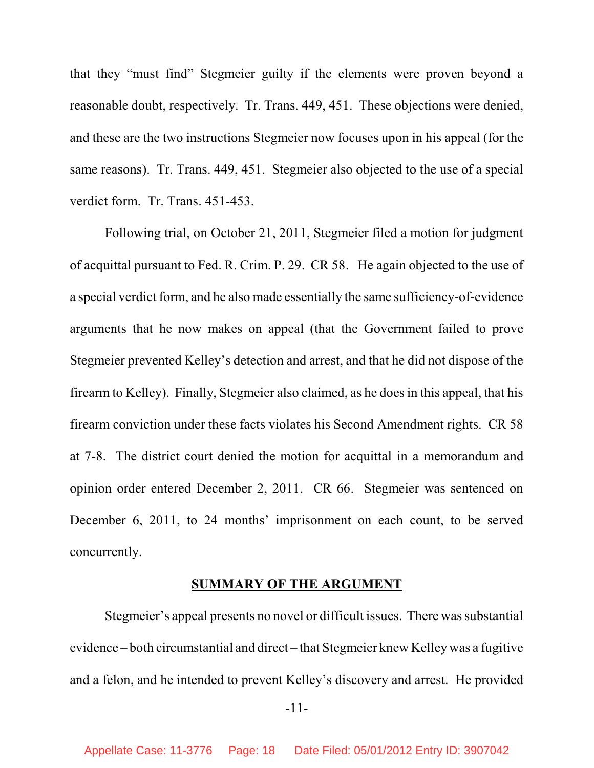that they "must find" Stegmeier guilty if the elements were proven beyond a reasonable doubt, respectively. Tr. Trans. 449, 451. These objections were denied, and these are the two instructions Stegmeier now focuses upon in his appeal (for the same reasons). Tr. Trans. 449, 451. Stegmeier also objected to the use of a special verdict form. Tr. Trans. 451-453.

Following trial, on October 21, 2011, Stegmeier filed a motion for judgment of acquittal pursuant to Fed. R. Crim. P. 29. CR 58. He again objected to the use of a special verdict form, and he also made essentially the same sufficiency-of-evidence arguments that he now makes on appeal (that the Government failed to prove Stegmeier prevented Kelley's detection and arrest, and that he did not dispose of the firearm to Kelley). Finally, Stegmeier also claimed, as he doesin this appeal, that his firearm conviction under these facts violates his Second Amendment rights. CR 58 at 7-8. The district court denied the motion for acquittal in a memorandum and opinion order entered December 2, 2011. CR 66. Stegmeier was sentenced on December 6, 2011, to 24 months' imprisonment on each count, to be served concurrently.

#### **SUMMARY OF THE ARGUMENT**

Stegmeier's appeal presents no novel or difficult issues. There was substantial evidence – both circumstantial and direct – that Stegmeier knew Kelley was a fugitive and a felon, and he intended to prevent Kelley's discovery and arrest. He provided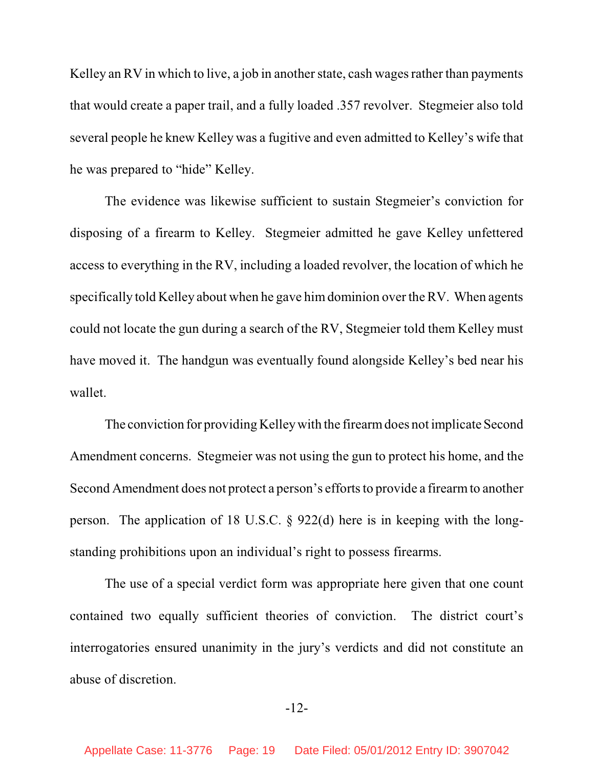Kelley an RV in which to live, a job in another state, cash wages rather than payments that would create a paper trail, and a fully loaded .357 revolver. Stegmeier also told several people he knew Kelley was a fugitive and even admitted to Kelley's wife that he was prepared to "hide" Kelley.

The evidence was likewise sufficient to sustain Stegmeier's conviction for disposing of a firearm to Kelley. Stegmeier admitted he gave Kelley unfettered access to everything in the RV, including a loaded revolver, the location of which he specifically told Kelley about when he gave himdominion over the RV. When agents could not locate the gun during a search of the RV, Stegmeier told them Kelley must have moved it. The handgun was eventually found alongside Kelley's bed near his wallet.

The conviction for providing Kelley with the firearm does not implicate Second Amendment concerns. Stegmeier was not using the gun to protect his home, and the Second Amendment does not protect a person's efforts to provide a firearm to another person. The application of 18 U.S.C. § 922(d) here is in keeping with the longstanding prohibitions upon an individual's right to possess firearms.

The use of a special verdict form was appropriate here given that one count contained two equally sufficient theories of conviction. The district court's interrogatories ensured unanimity in the jury's verdicts and did not constitute an abuse of discretion.

#### -12-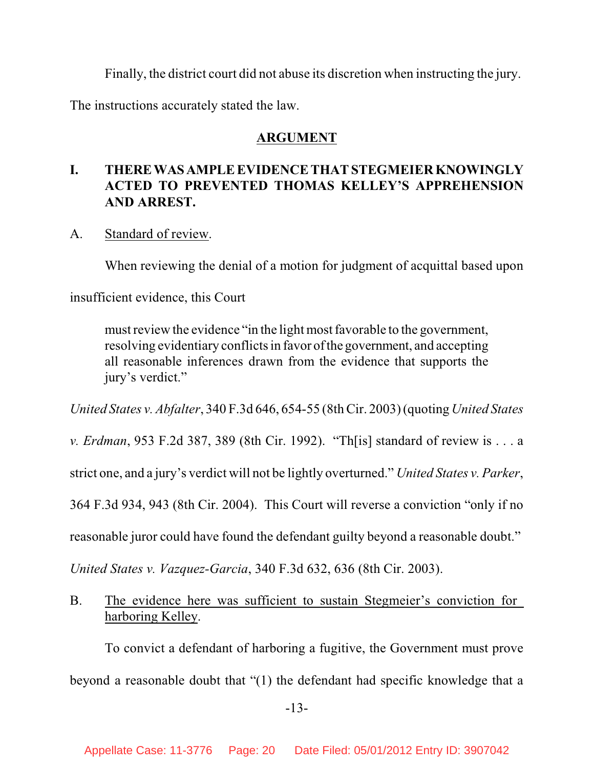Finally, the district court did not abuse its discretion when instructing the jury.

The instructions accurately stated the law.

## **ARGUMENT**

# **I. THERE WAS AMPLE EVIDENCE THATSTEGMEIER KNOWINGLY ACTED TO PREVENTED THOMAS KELLEY'S APPREHENSION AND ARREST.**

## A. Standard of review.

When reviewing the denial of a motion for judgment of acquittal based upon

insufficient evidence, this Court

must review the evidence "in the light most favorable to the government, resolving evidentiary conflicts in favor ofthe government, and accepting all reasonable inferences drawn from the evidence that supports the jury's verdict."

*United States v. Abfalter*, 340 F.3d 646, 654-55 (8thCir. 2003) (quoting *United States*

*v. Erdman*, 953 F.2d 387, 389 (8th Cir. 1992). "Th[is] standard of review is . . . a

strict one, and a jury's verdict will not be lightly overturned." *United States v. Parker*,

364 F.3d 934, 943 (8th Cir. 2004). This Court will reverse a conviction "only if no

reasonable juror could have found the defendant guilty beyond a reasonable doubt."

*United States v. Vazquez-Garcia*, 340 F.3d 632, 636 (8th Cir. 2003).

B. The evidence here was sufficient to sustain Stegmeier's conviction for harboring Kelley.

To convict a defendant of harboring a fugitive, the Government must prove beyond a reasonable doubt that "(1) the defendant had specific knowledge that a

-13-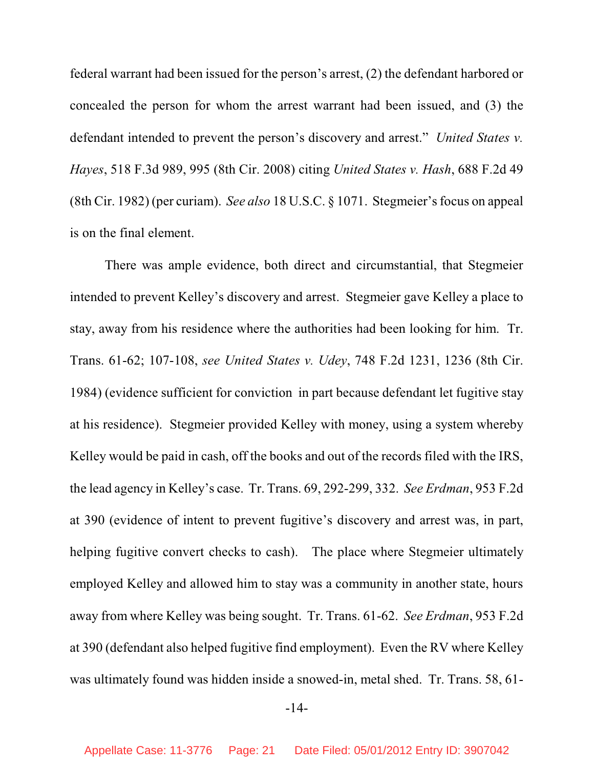federal warrant had been issued for the person's arrest, (2) the defendant harbored or concealed the person for whom the arrest warrant had been issued, and (3) the defendant intended to prevent the person's discovery and arrest." *United States v. Hayes*, 518 F.3d 989, 995 (8th Cir. 2008) citing *United States v. Hash*, 688 F.2d 49 (8th Cir. 1982) (per curiam). *See also* 18 U.S.C. § 1071. Stegmeier's focus on appeal is on the final element.

There was ample evidence, both direct and circumstantial, that Stegmeier intended to prevent Kelley's discovery and arrest. Stegmeier gave Kelley a place to stay, away from his residence where the authorities had been looking for him. Tr. Trans. 61-62; 107-108, *see United States v. Udey*, 748 F.2d 1231, 1236 (8th Cir. 1984) (evidence sufficient for conviction in part because defendant let fugitive stay at his residence). Stegmeier provided Kelley with money, using a system whereby Kelley would be paid in cash, off the books and out of the records filed with the IRS, the lead agency in Kelley's case. Tr. Trans. 69, 292-299, 332. *See Erdman*, 953 F.2d at 390 (evidence of intent to prevent fugitive's discovery and arrest was, in part, helping fugitive convert checks to cash). The place where Stegmeier ultimately employed Kelley and allowed him to stay was a community in another state, hours away from where Kelley was being sought. Tr. Trans. 61-62. *See Erdman*, 953 F.2d at 390 (defendant also helped fugitive find employment). Even the RV where Kelley was ultimately found was hidden inside a snowed-in, metal shed. Tr. Trans. 58, 61-

-14-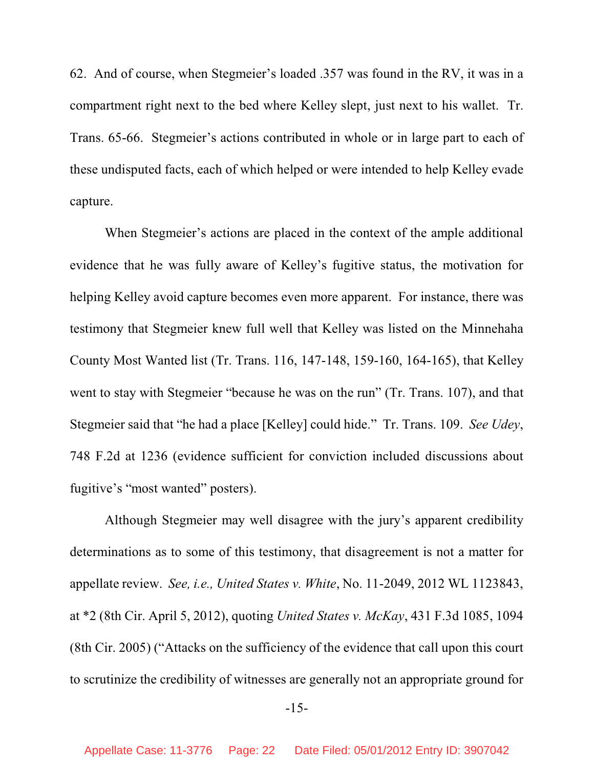62. And of course, when Stegmeier's loaded .357 was found in the RV, it was in a compartment right next to the bed where Kelley slept, just next to his wallet. Tr. Trans. 65-66. Stegmeier's actions contributed in whole or in large part to each of these undisputed facts, each of which helped or were intended to help Kelley evade capture.

When Stegmeier's actions are placed in the context of the ample additional evidence that he was fully aware of Kelley's fugitive status, the motivation for helping Kelley avoid capture becomes even more apparent. For instance, there was testimony that Stegmeier knew full well that Kelley was listed on the Minnehaha County Most Wanted list (Tr. Trans. 116, 147-148, 159-160, 164-165), that Kelley went to stay with Stegmeier "because he was on the run" (Tr. Trans. 107), and that Stegmeier said that "he had a place [Kelley] could hide." Tr. Trans. 109. *See Udey*, 748 F.2d at 1236 (evidence sufficient for conviction included discussions about fugitive's "most wanted" posters).

Although Stegmeier may well disagree with the jury's apparent credibility determinations as to some of this testimony, that disagreement is not a matter for appellate review. *See, i.e., United States v. White*, No. 11-2049, 2012 WL 1123843, at \*2 (8th Cir. April 5, 2012), quoting *United States v. McKay*, 431 F.3d 1085, 1094 (8th Cir. 2005) ("Attacks on the sufficiency of the evidence that call upon this court to scrutinize the credibility of witnesses are generally not an appropriate ground for

-15-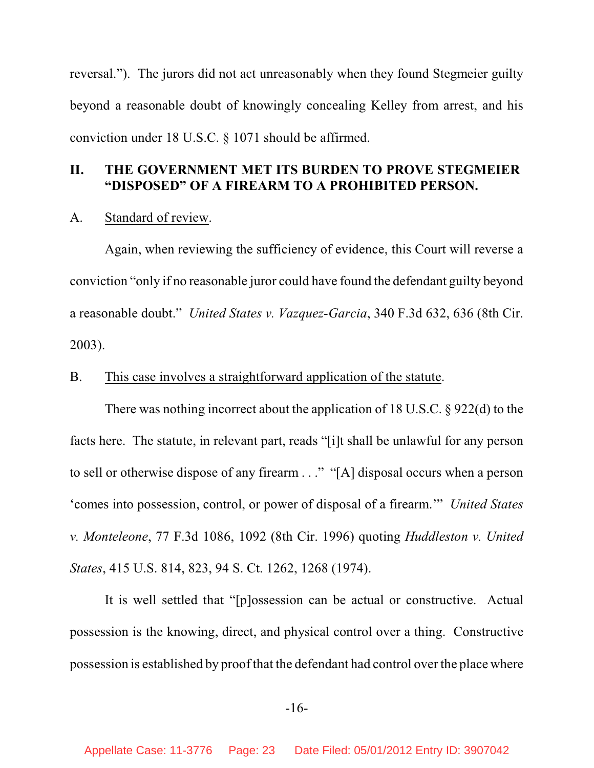reversal."). The jurors did not act unreasonably when they found Stegmeier guilty beyond a reasonable doubt of knowingly concealing Kelley from arrest, and his conviction under 18 U.S.C. § 1071 should be affirmed.

### **II. THE GOVERNMENT MET ITS BURDEN TO PROVE STEGMEIER "DISPOSED" OF A FIREARM TO A PROHIBITED PERSON.**

#### A. Standard of review.

Again, when reviewing the sufficiency of evidence, this Court will reverse a conviction "only if no reasonable juror could have found the defendant guilty beyond a reasonable doubt." *United States v. Vazquez-Garcia*, 340 F.3d 632, 636 (8th Cir. 2003).

### B. This case involves a straightforward application of the statute.

There was nothing incorrect about the application of 18 U.S.C. § 922(d) to the facts here. The statute, in relevant part, reads "[i]t shall be unlawful for any person to sell or otherwise dispose of any firearm . . ." "[A] disposal occurs when a person 'comes into possession, control, or power of disposal of a firearm.'" *United States v. Monteleone*, 77 F.3d 1086, 1092 (8th Cir. 1996) quoting *Huddleston v. United States*, 415 U.S. 814, 823, 94 S. Ct. 1262, 1268 (1974).

It is well settled that "[p]ossession can be actual or constructive. Actual possession is the knowing, direct, and physical control over a thing. Constructive possession is established by proof that the defendant had control over the place where

#### -16-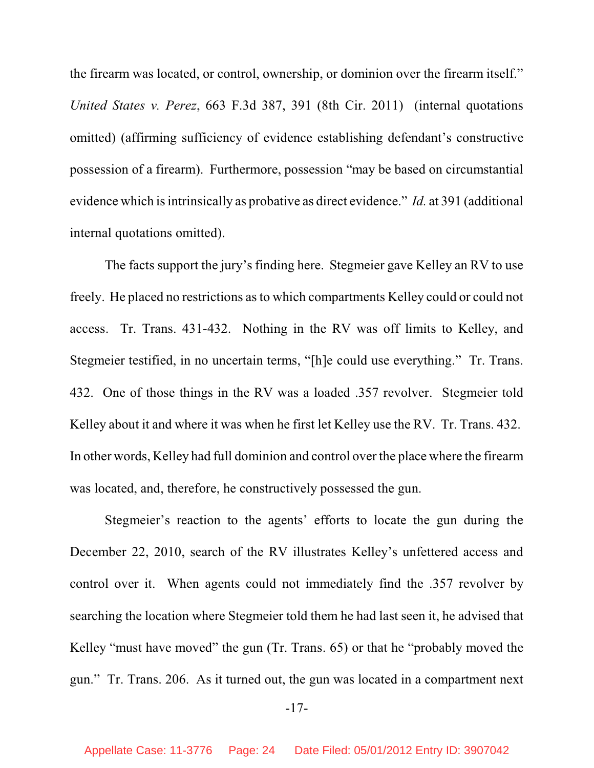the firearm was located, or control, ownership, or dominion over the firearm itself." *United States v. Perez*, 663 F.3d 387, 391 (8th Cir. 2011) (internal quotations omitted) (affirming sufficiency of evidence establishing defendant's constructive possession of a firearm). Furthermore, possession "may be based on circumstantial evidence which isintrinsically as probative as direct evidence." *Id.* at 391 (additional internal quotations omitted).

The facts support the jury's finding here. Stegmeier gave Kelley an RV to use freely. He placed no restrictions asto which compartments Kelley could or could not access. Tr. Trans. 431-432. Nothing in the RV was off limits to Kelley, and Stegmeier testified, in no uncertain terms, "[h]e could use everything." Tr. Trans. 432. One of those things in the RV was a loaded .357 revolver. Stegmeier told Kelley about it and where it was when he first let Kelley use the RV. Tr. Trans. 432. In other words, Kelley had full dominion and control over the place where the firearm was located, and, therefore, he constructively possessed the gun.

Stegmeier's reaction to the agents' efforts to locate the gun during the December 22, 2010, search of the RV illustrates Kelley's unfettered access and control over it. When agents could not immediately find the .357 revolver by searching the location where Stegmeier told them he had last seen it, he advised that Kelley "must have moved" the gun (Tr. Trans. 65) or that he "probably moved the gun." Tr. Trans. 206. As it turned out, the gun was located in a compartment next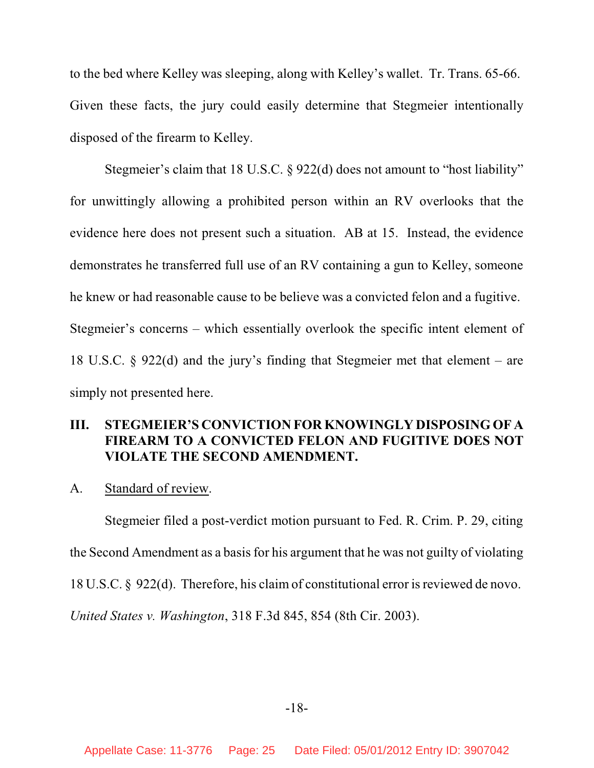to the bed where Kelley was sleeping, along with Kelley's wallet. Tr. Trans. 65-66. Given these facts, the jury could easily determine that Stegmeier intentionally disposed of the firearm to Kelley.

Stegmeier's claim that 18 U.S.C. § 922(d) does not amount to "host liability" for unwittingly allowing a prohibited person within an RV overlooks that the evidence here does not present such a situation. AB at 15. Instead, the evidence demonstrates he transferred full use of an RV containing a gun to Kelley, someone he knew or had reasonable cause to be believe was a convicted felon and a fugitive. Stegmeier's concerns – which essentially overlook the specific intent element of 18 U.S.C. § 922(d) and the jury's finding that Stegmeier met that element – are simply not presented here.

## **III. STEGMEIER'S CONVICTION FOR KNOWINGLY DISPOSING OF A FIREARM TO A CONVICTED FELON AND FUGITIVE DOES NOT VIOLATE THE SECOND AMENDMENT.**

A. Standard of review.

Stegmeier filed a post-verdict motion pursuant to Fed. R. Crim. P. 29, citing the Second Amendment as a basis for his argument that he was not guilty of violating 18 U.S.C.  $\S$  922(d). Therefore, his claim of constitutional error is reviewed de novo. *United States v. Washington*, 318 F.3d 845, 854 (8th Cir. 2003).

-18-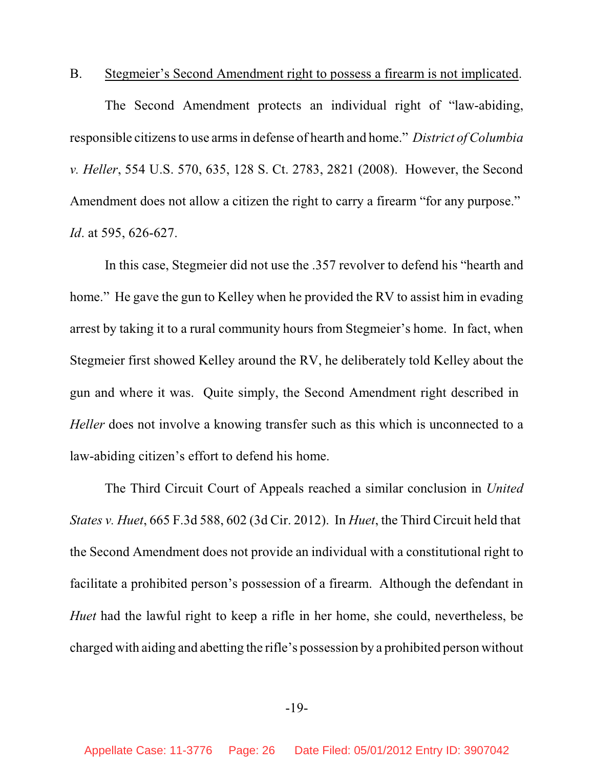B. Stegmeier's Second Amendment right to possess a firearm is not implicated.

The Second Amendment protects an individual right of "law-abiding, responsible citizens to use arms in defense of hearth and home." *District ofColumbia v. Heller*, 554 U.S. 570, 635, 128 S. Ct. 2783, 2821 (2008). However, the Second Amendment does not allow a citizen the right to carry a firearm "for any purpose." *Id*. at 595, 626-627.

In this case, Stegmeier did not use the .357 revolver to defend his "hearth and home." He gave the gun to Kelley when he provided the RV to assist him in evading arrest by taking it to a rural community hours from Stegmeier's home. In fact, when Stegmeier first showed Kelley around the RV, he deliberately told Kelley about the gun and where it was. Quite simply, the Second Amendment right described in *Heller* does not involve a knowing transfer such as this which is unconnected to a law-abiding citizen's effort to defend his home.

The Third Circuit Court of Appeals reached a similar conclusion in *United States v. Huet*, 665 F.3d 588, 602 (3d Cir. 2012). In *Huet*, the Third Circuit held that the Second Amendment does not provide an individual with a constitutional right to facilitate a prohibited person's possession of a firearm. Although the defendant in *Huet* had the lawful right to keep a rifle in her home, she could, nevertheless, be charged with aiding and abetting the rifle's possession by a prohibited person without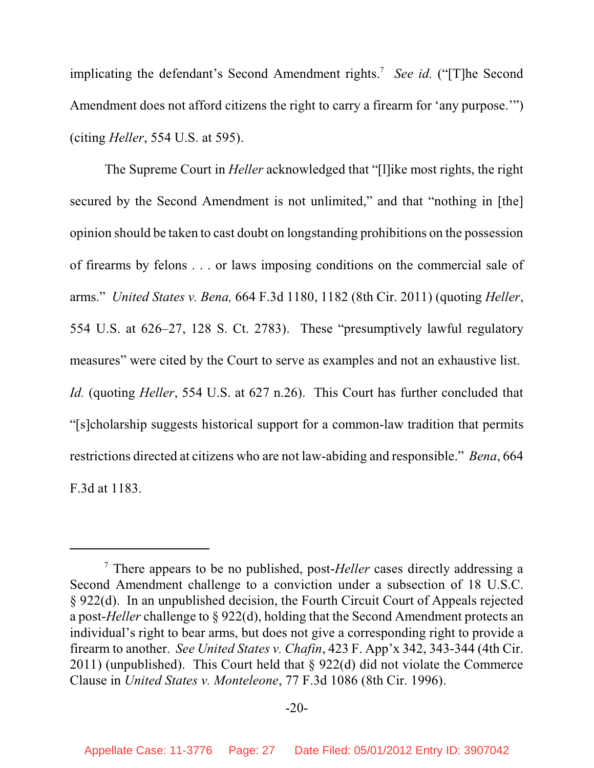implicating the defendant's Second Amendment rights.<sup>7</sup> See id. ("[T]he Second Amendment does not afford citizens the right to carry a firearm for 'any purpose.'") (citing *Heller*, 554 U.S. at 595).

The Supreme Court in *Heller* acknowledged that "[l]ike most rights, the right secured by the Second Amendment is not unlimited," and that "nothing in [the] opinion should be taken to cast doubt on longstanding prohibitions on the possession of firearms by felons . . . or laws imposing conditions on the commercial sale of arms." *United States v. Bena,* 664 F.3d 1180, 1182 (8th Cir. 2011) (quoting *Heller*, 554 U.S. at 626–27, 128 S. Ct. 2783). These "presumptively lawful regulatory measures" were cited by the Court to serve as examples and not an exhaustive list. *Id.* (quoting *Heller*, 554 U.S. at 627 n.26). This Court has further concluded that "[s]cholarship suggests historical support for a common-law tradition that permits restrictions directed at citizens who are not law-abiding and responsible." *Bena*, 664 F.3d at 1183.

<sup>&</sup>lt;sup>7</sup> There appears to be no published, post-*Heller* cases directly addressing a Second Amendment challenge to a conviction under a subsection of 18 U.S.C. § 922(d). In an unpublished decision, the Fourth Circuit Court of Appeals rejected a post-*Heller* challenge to § 922(d), holding that the Second Amendment protects an individual's right to bear arms, but does not give a corresponding right to provide a firearm to another. *See United States v. Chafin*, 423 F. App'x 342, 343-344 (4th Cir. 2011) (unpublished). This Court held that § 922(d) did not violate the Commerce Clause in *United States v. Monteleone*, 77 F.3d 1086 (8th Cir. 1996).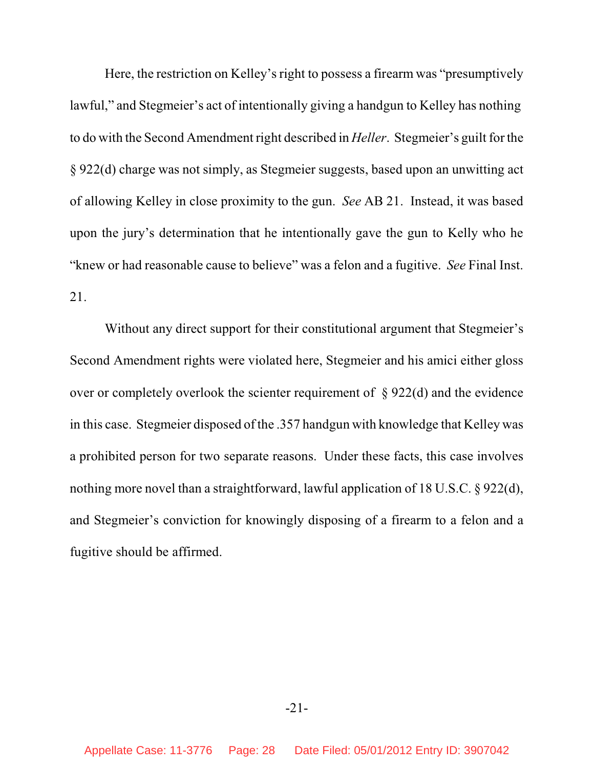Here, the restriction on Kelley's right to possess a firearm was "presumptively lawful," and Stegmeier's act of intentionally giving a handgun to Kelley has nothing to do with the Second Amendment right described in *Heller*. Stegmeier's guilt for the § 922(d) charge was not simply, as Stegmeier suggests, based upon an unwitting act of allowing Kelley in close proximity to the gun. *See* AB 21. Instead, it was based upon the jury's determination that he intentionally gave the gun to Kelly who he "knew or had reasonable cause to believe" was a felon and a fugitive. *See* Final Inst. 21.

Without any direct support for their constitutional argument that Stegmeier's Second Amendment rights were violated here, Stegmeier and his amici either gloss over or completely overlook the scienter requirement of  $\S 922(d)$  and the evidence in this case. Stegmeier disposed of the .357 handgun with knowledge that Kelley was a prohibited person for two separate reasons. Under these facts, this case involves nothing more novel than a straightforward, lawful application of 18 U.S.C. § 922(d), and Stegmeier's conviction for knowingly disposing of a firearm to a felon and a fugitive should be affirmed.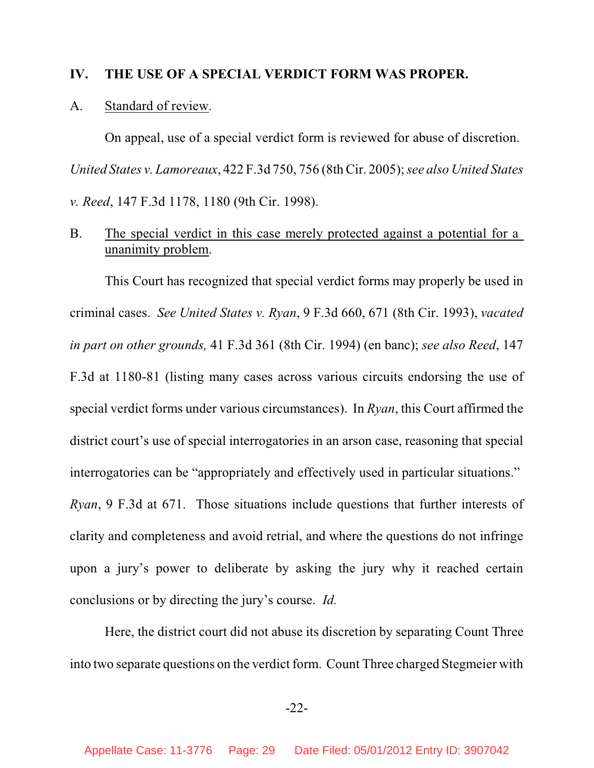#### **IV. THE USE OF A SPECIAL VERDICT FORM WAS PROPER.**

#### A. Standard of review.

On appeal, use of a special verdict form is reviewed for abuse of discretion. *United States v. Lamoreaux*, 422 F.3d 750, 756 (8th Cir. 2005); *see also United States v. Reed*, 147 F.3d 1178, 1180 (9th Cir. 1998).

# B. The special verdict in this case merely protected against a potential for a unanimity problem.

This Court has recognized that special verdict forms may properly be used in criminal cases. *See United States v. Ryan*, 9 F.3d 660, 671 (8th Cir. 1993), *vacated in part on other grounds,* 41 F.3d 361 (8th Cir. 1994) (en banc); *see also Reed*, 147 F.3d at 1180-81 (listing many cases across various circuits endorsing the use of special verdict forms under various circumstances). In *Ryan*, this Court affirmed the district court's use of special interrogatories in an arson case, reasoning that special interrogatories can be "appropriately and effectively used in particular situations." *Ryan*, 9 F.3d at 671. Those situations include questions that further interests of clarity and completeness and avoid retrial, and where the questions do not infringe upon a jury's power to deliberate by asking the jury why it reached certain conclusions or by directing the jury's course. *Id.*

Here, the district court did not abuse its discretion by separating Count Three into two separate questions on the verdict form. Count Three charged Stegmeier with

-22-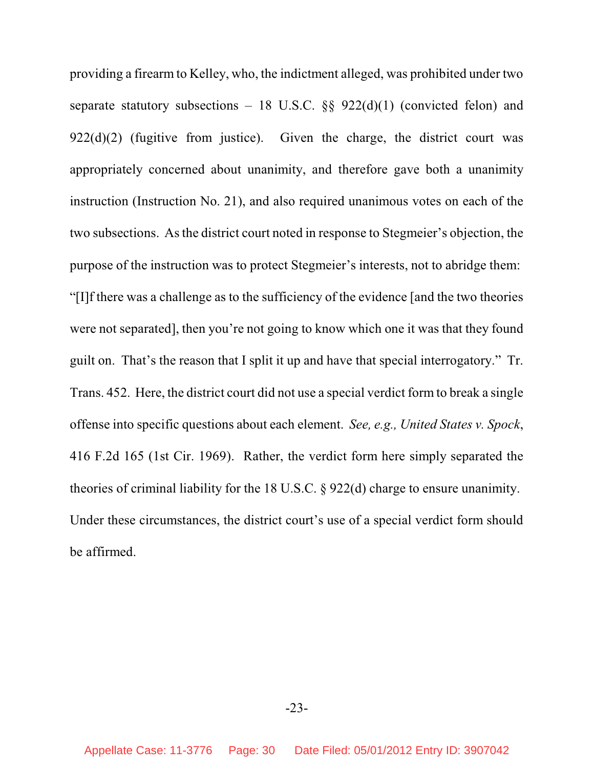providing a firearm to Kelley, who, the indictment alleged, was prohibited under two separate statutory subsections – 18 U.S.C.  $\S$ § 922(d)(1) (convicted felon) and  $922(d)(2)$  (fugitive from justice). Given the charge, the district court was appropriately concerned about unanimity, and therefore gave both a unanimity instruction (Instruction No. 21), and also required unanimous votes on each of the two subsections. As the district court noted in response to Stegmeier's objection, the purpose of the instruction was to protect Stegmeier's interests, not to abridge them: "[I]f there was a challenge as to the sufficiency of the evidence [and the two theories were not separated], then you're not going to know which one it was that they found guilt on. That's the reason that I split it up and have that special interrogatory." Tr. Trans. 452. Here, the district court did not use a special verdict form to break a single offense into specific questions about each element. *See, e.g., United States v. Spock*, 416 F.2d 165 (1st Cir. 1969). Rather, the verdict form here simply separated the theories of criminal liability for the 18 U.S.C. § 922(d) charge to ensure unanimity. Under these circumstances, the district court's use of a special verdict form should be affirmed.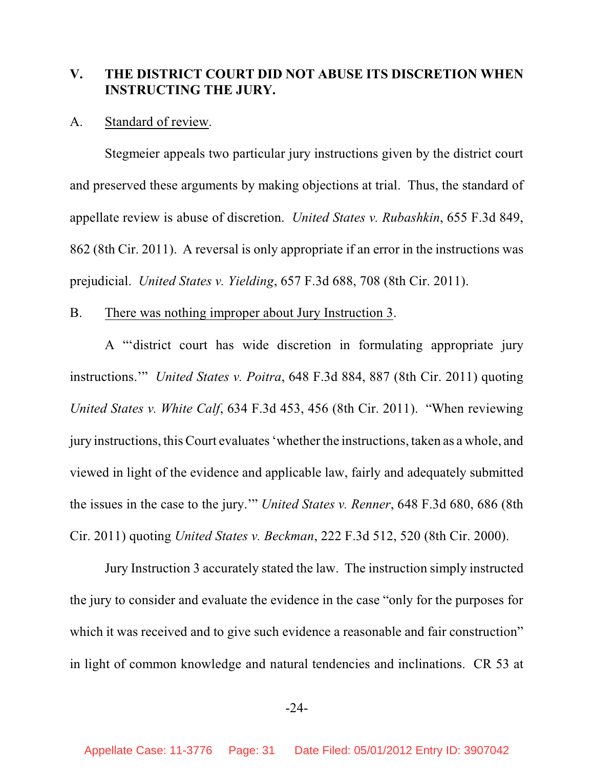## **V. THE DISTRICT COURT DID NOT ABUSE ITS DISCRETION WHEN INSTRUCTING THE JURY.**

#### A. Standard of review.

Stegmeier appeals two particular jury instructions given by the district court and preserved these arguments by making objections at trial. Thus, the standard of appellate review is abuse of discretion. *United States v. Rubashkin*, 655 F.3d 849, 862 (8th Cir. 2011). A reversal is only appropriate if an error in the instructions was prejudicial. *United States v. Yielding*, 657 F.3d 688, 708 (8th Cir. 2011).

#### B. There was nothing improper about Jury Instruction 3.

A "'district court has wide discretion in formulating appropriate jury instructions.'" *United States v. Poitra*, 648 F.3d 884, 887 (8th Cir. 2011) quoting *United States v. White Calf*, 634 F.3d 453, 456 (8th Cir. 2011). "When reviewing jury instructions, this Court evaluates 'whether the instructions, taken as a whole, and viewed in light of the evidence and applicable law, fairly and adequately submitted the issues in the case to the jury.'" *United States v. Renner*, 648 F.3d 680, 686 (8th Cir. 2011) quoting *United States v. Beckman*, 222 F.3d 512, 520 (8th Cir. 2000).

Jury Instruction 3 accurately stated the law. The instruction simply instructed the jury to consider and evaluate the evidence in the case "only for the purposes for which it was received and to give such evidence a reasonable and fair construction" in light of common knowledge and natural tendencies and inclinations. CR 53 at

#### -24-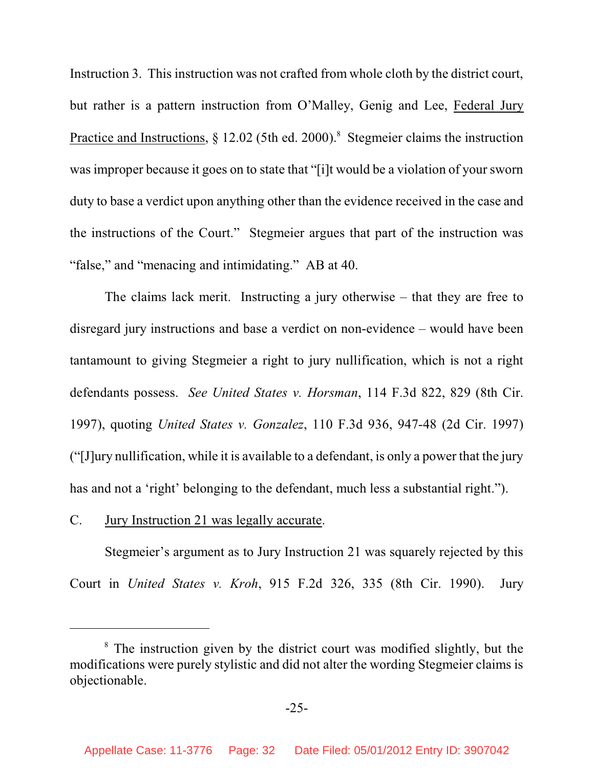Instruction 3. This instruction was not crafted from whole cloth by the district court, but rather is a pattern instruction from O'Malley, Genig and Lee, Federal Jury Practice and Instructions,  $\S 12.02$  (5th ed. 2000).<sup>8</sup> Stegmeier claims the instruction wasimproper because it goes on to state that "[i]t would be a violation of your sworn duty to base a verdict upon anything other than the evidence received in the case and the instructions of the Court." Stegmeier argues that part of the instruction was "false," and "menacing and intimidating." AB at 40.

The claims lack merit. Instructing a jury otherwise – that they are free to disregard jury instructions and base a verdict on non-evidence – would have been tantamount to giving Stegmeier a right to jury nullification, which is not a right defendants possess. *See United States v. Horsman*, 114 F.3d 822, 829 (8th Cir. 1997), quoting *United States v. Gonzalez*, 110 F.3d 936, 947-48 (2d Cir. 1997) ("[J]ury nullification, while it is available to a defendant, is only a power that the jury has and not a 'right' belonging to the defendant, much less a substantial right.").

#### C. Jury Instruction 21 was legally accurate.

Stegmeier's argument as to Jury Instruction 21 was squarely rejected by this Court in *United States v. Kroh*, 915 F.2d 326, 335 (8th Cir. 1990). Jury

<sup>&</sup>lt;sup>8</sup> The instruction given by the district court was modified slightly, but the modifications were purely stylistic and did not alter the wording Stegmeier claims is objectionable.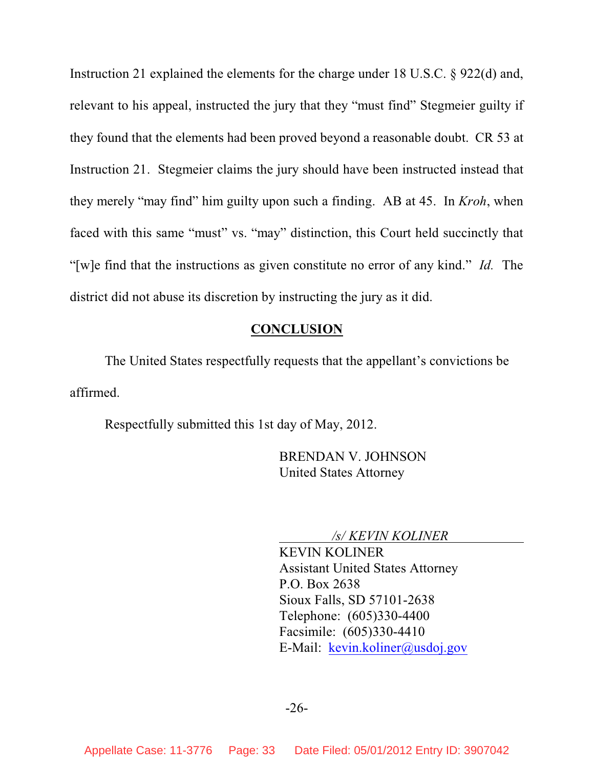Instruction 21 explained the elements for the charge under 18 U.S.C. § 922(d) and, relevant to his appeal, instructed the jury that they "must find" Stegmeier guilty if they found that the elements had been proved beyond a reasonable doubt. CR 53 at Instruction 21. Stegmeier claims the jury should have been instructed instead that they merely "may find" him guilty upon such a finding. AB at 45. In *Kroh*, when faced with this same "must" vs. "may" distinction, this Court held succinctly that "[w]e find that the instructions as given constitute no error of any kind." *Id.* The district did not abuse its discretion by instructing the jury as it did.

### **CONCLUSION**

The United States respectfully requests that the appellant's convictions be affirmed.

Respectfully submitted this 1st day of May, 2012.

BRENDAN V. JOHNSON United States Attorney

*/s/ KEVIN KOLINER* 

KEVIN KOLINER Assistant United States Attorney P.O. Box 2638 Sioux Falls, SD 57101-2638 Telephone: (605)330-4400 Facsimile: (605)330-4410 E-Mail: kevin.koliner@usdoj.gov